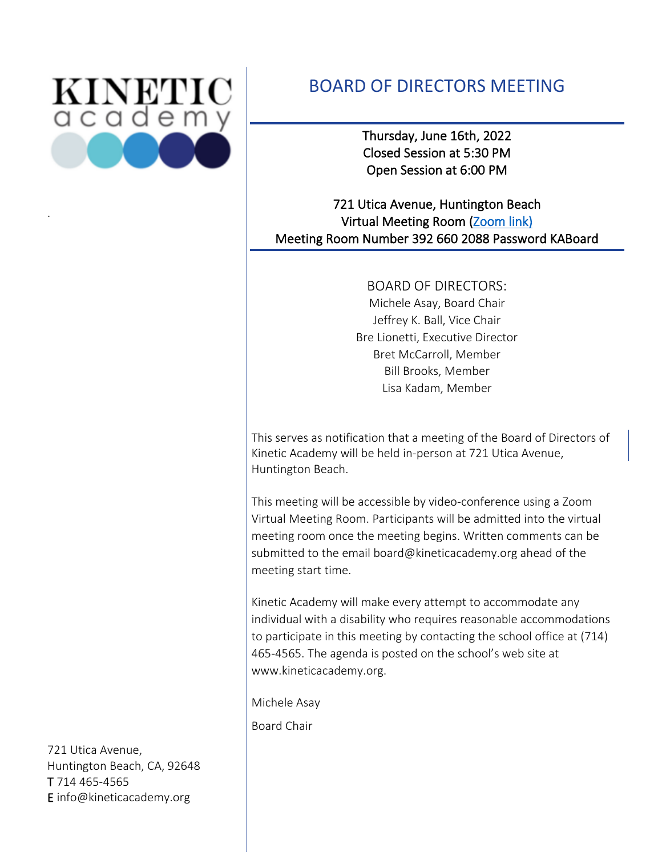

.

# BOARD OF DIRECTORS MEETING

Thursday, June 16th, 2022 Closed Session at 5:30 PM Open Session at 6:00 PM

## 721 Utica Avenue, Huntington Beach Virtual Meeting Room [\(Zoom link\)](https://kineticacademy-org.zoom.us/j/3926602088?pwd=aUV3R2l2eU45ZktkdWxpamNwVUFaUT09)  Meeting Room Number 392 660 2088 Password KABoard

BOARD OF DIRECTORS: Michele Asay, Board Chair Jeffrey K. Ball, Vice Chair Bre Lionetti, Executive Director Bret McCarroll, Member Bill Brooks, Member Lisa Kadam, Member

This serves as notification that a meeting of the Board of Directors of Kinetic Academy will be held in-person at 721 Utica Avenue, Huntington Beach.

This meeting will be accessible by video-conference using a Zoom Virtual Meeting Room. Participants will be admitted into the virtual meeting room once the meeting begins. Written comments can be submitted to the email board@kineticacademy.org ahead of the meeting start time.

Kinetic Academy will make every attempt to accommodate any individual with a disability who requires reasonable accommodations to participate in this meeting by contacting the school office at (714) 465-4565. The agenda is posted on the school's web site at www.kineticacademy.org.

Michele Asay Board Chair

721 Utica Avenue, Huntington Beach, CA, 92648 T 714 465-4565 E info@kineticacademy.org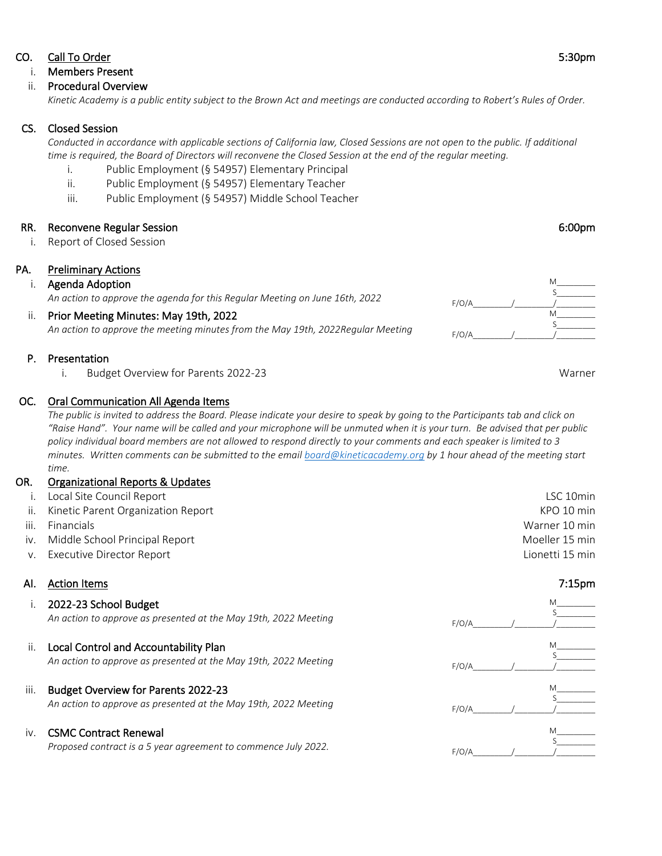#### CO. Call To Order 5:30pm

## i. Members Present

ii. Procedural Overview

*Kinetic Academy is a public entity subject to the Brown Act and meetings are conducted according to Robert's Rules of Order.* 

## CS. Closed Session

*Conducted in accordance with applicable sections of California law, Closed Sessions are not open to the public. If additional time is required, the Board of Directors will reconvene the Closed Session at the end of the regular meeting.*

- i. Public Employment (§ 54957) Elementary Principal
- ii. Public Employment (§ 54957) Elementary Teacher
- iii. Public Employment (§ 54957) Middle School Teacher

## RR. Reconvene Regular Session 6:00pm and the state of the state of the state of the state of the state of the state of the state of the state of the state of the state of the state of the state of the state of the state of

i. Report of Closed Session

## PA. Preliminary Actions

## i. Agenda Adoption

*An action to approve the agenda for this Regular Meeting on June 16th, 2022*

## ii. Prior Meeting Minutes: May 19th, 2022

*An action to approve the meeting minutes from the May 19th, 2022Regular Meeting* 

#### P. Presentation

i. Budget Overview for Parents 2022-23 Warner

#### OC. Oral Communication All Agenda Items

*The public is invited to address the Board. Please indicate your desire to speak by going to the Participants tab and click on "Raise Hand". Your name will be called and your microphone will be unmuted when it is your turn. Be advised that per public policy individual board members are not allowed to respond directly to your comments and each speaker is limited to 3 minutes. Written comments can be submitted to the email [board@kineticacademy.org](mailto:board@kineticacademy.org) by 1 hour ahead of the meeting start time.*

#### OR. Organizational Reports & Updates

| iii. | ii. Kinetic Parent Organization Report<br>Financials | KPO 10 min<br>Warner 10 min |
|------|------------------------------------------------------|-----------------------------|
|      | iv. Middle School Principal Report                   | Moeller 15 min              |
|      | v. Executive Director Report                         | Lionetti 15 min             |
|      | Al. Action Items                                     | 7:15 <sub>pm</sub>          |

|      | 2022-23 School Budget<br>An action to approve as presented at the May 19th, 2022 Meeting                      | F/O/A |  |
|------|---------------------------------------------------------------------------------------------------------------|-------|--|
| Ш.   | Local Control and Accountability Plan<br>An action to approve as presented at the May 19th, 2022 Meeting      | F/O/A |  |
| iii. | <b>Budget Overview for Parents 2022-23</b><br>An action to approve as presented at the May 19th, 2022 Meeting | F/O/A |  |
| IV.  | <b>CSMC Contract Renewal</b><br>Proposed contract is a 5 year agreement to commence July 2022.                | F/O/A |  |

M\_\_\_\_\_\_\_\_\_  $S$ M\_\_\_\_\_\_\_\_\_

 $F/O/A$ 

 $F/O/A$ 

 $S$